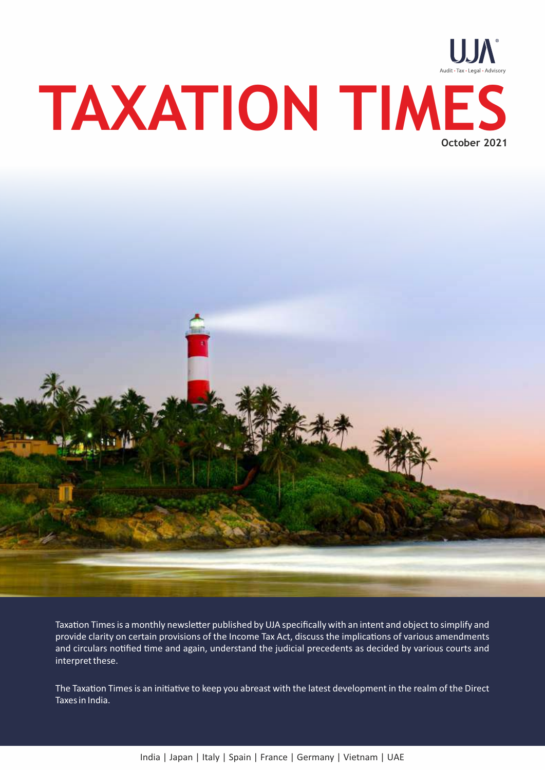



Taxation Times is a monthly newsletter published by UJA specifically with an intent and object to simplify and provide clarity on certain provisions of the Income Tax Act, discuss the implications of various amendments and circulars notified time and again, understand the judicial precedents as decided by various courts and interpret these.

The Taxation Times is an initiative to keep you abreast with the latest development in the realm of the Direct Taxes in India.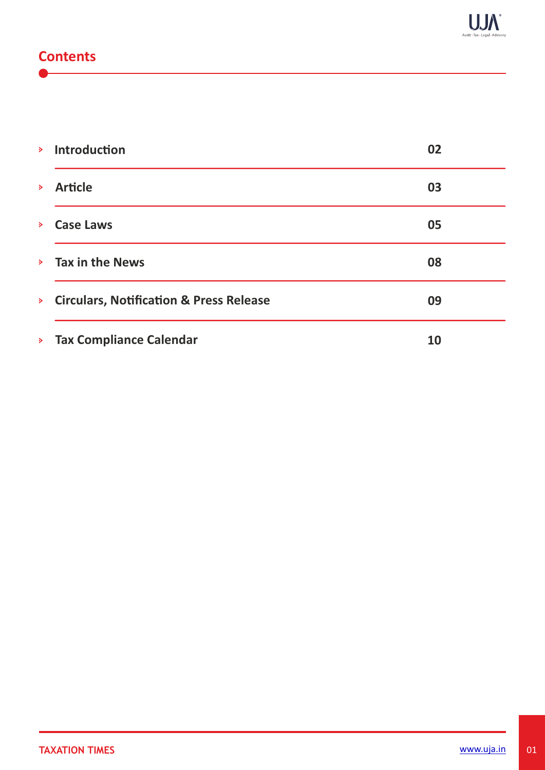# **Contents**

|                  | <b>&gt;</b> Introduction                  | 02        |
|------------------|-------------------------------------------|-----------|
| $\triangleright$ | <b>Article</b>                            | 03        |
| $\triangleright$ | <b>Case Laws</b>                          | 05        |
|                  | $\angle$ Tax in the News                  | 08        |
|                  | > Circulars, Notification & Press Release | 09        |
|                  | > Tax Compliance Calendar                 | <b>10</b> |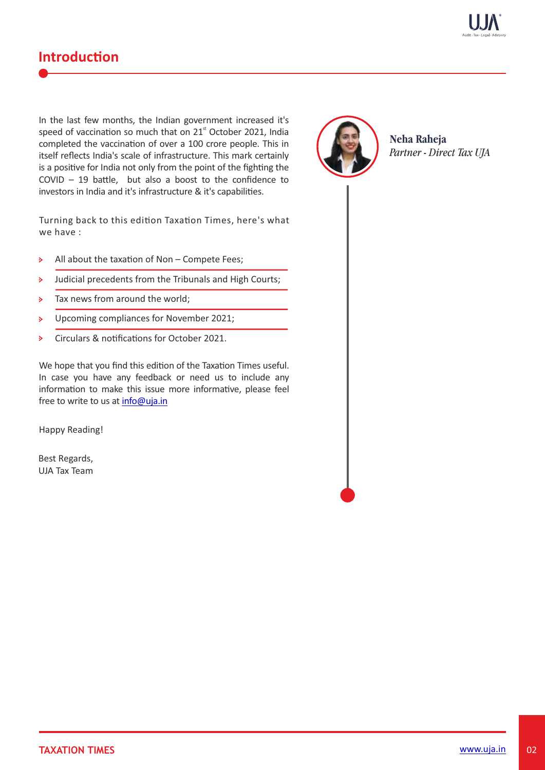

# **Introduction**

In the last few months, the Indian government increased it's speed of vaccination so much that on 21<sup>st</sup> October 2021, India completed the vaccination of over a 100 crore people. This in itself reflects India's scale of infrastructure. This mark certainly is a positive for India not only from the point of the fighting the  $COVID - 19$  battle, but also a boost to the confidence to investors in India and it's infrastructure & it's capabilities.

Turning back to this edition Taxation Times, here's what we have :

- $\mathbf{S}$ All about the taxation of Non  $-$  Compete Fees;
- Judicial precedents from the Tribunals and High Courts;  $\triangleright$
- Tax news from around the world;  $\mathbf{S}$
- Upcoming compliances for November 2021;  $\mathbf{S}$
- Circulars & notifications for October 2021.  $\mathbf{S}$

We hope that you find this edition of the Taxation Times useful. In case you have any feedback or need us to include any information to make this issue more informative, please feel free to write to us at info@uja.in

Happy Reading!

Best Regards, UJA Tax Team



**Neha Raheja** *Partner - Direct Tax UJA*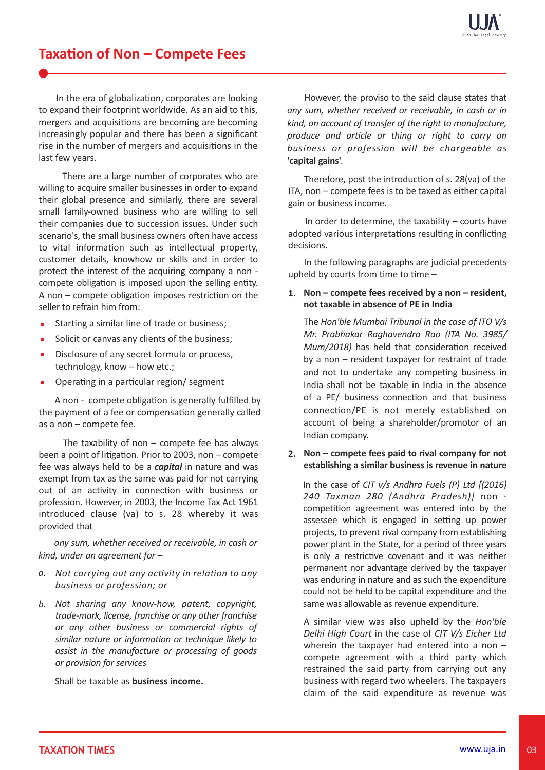# **Taxation of Non – Compete Fees**

In the era of globalization, corporates are looking to expand their footprint worldwide. As an aid to this, mergers and acquisitions are becoming are becoming increasingly popular and there has been a significant rise in the number of mergers and acquisitions in the last few years.

There are a large number of corporates who are willing to acquire smaller businesses in order to expand their global presence and similarly, there are several small family-owned business who are willing to sell their companies due to succession issues. Under such scenario's, the small business owners often have access to vital information such as intellectual property, customer details, knowhow or skills and in order to protect the interest of the acquiring company a non compete obligation is imposed upon the selling entity. A non  $-$  compete obligation imposes restriction on the seller to refrain him from:

- Starting a similar line of trade or business;
- Solicit or canvas any clients of the business;  $\blacksquare$
- Disclosure of any secret formula or process,  $\blacksquare$ technology, know – how etc.;
- Operating in a particular region/ segment

A non - compete obligation is generally fulfilled by the payment of a fee or compensation generally called as a non – compete fee.

The taxability of non  $-$  compete fee has always been a point of litigation. Prior to 2003, non  $-$  compete fee was always held to be a *capital* in nature and was exempt from tax as the same was paid for not carrying out of an activity in connection with business or profession. However, in 2003, the Income Tax Act 1961 introduced clause (va) to s. 28 whereby it was provided that

 *any sum, whether received or receivable, in cash or kind, under an agreement for –* 

- a. Not carrying out any activity in relation to any *business or profession; or*
- *Not sharing any know-how, patent, copyright, b. trade-mark, license, franchise or any other franchise or any other business or commercial rights of* similar nature or information or technique likely to *assist in the manufacture or processing of goods or provision for services*

Shall be taxable as **business income.**

However, the proviso to the said clause states that *any sum, whether received or receivable, in cash or in kind, on account of transfer of the right to manufacture, produce and arcle or thing or right to carry on business or profession will be chargeable as* **'capital gains'***.* 

Therefore, post the introduction of s. 28(va) of the ITA, non – compete fees is to be taxed as either capital gain or business income.

In order to determine, the taxability – courts have adopted various interpretations resulting in conflicting decisions.

 In the following paragraphs are judicial precedents upheld by courts from time to time  $-$ 

## **Non – compete fees received by a non – resident, 1. not taxable in absence of PE in India**

The *Hon'ble Mumbai Tribunal in the case of ITO V/s Mr. Prabhakar Raghavendra Rao (ITA No. 3985/ Mum/2018*) has held that consideration received by a non – resident taxpayer for restraint of trade and not to undertake any competing business in India shall not be taxable in India in the absence of a PE/ business connection and that business connection/PE is not merely established on account of being a shareholder/promotor of an Indian company.

### **2. Non – compete fees paid to rival company for not establishing a similar business is revenue in nature**

In the case of *CIT v/s Andhra Fuels (P) Ltd [(2016) 240 Taxman 280 (Andhra Pradesh)]* non competition agreement was entered into by the assessee which is engaged in setting up power projects, to prevent rival company from establishing power plant in the State, for a period of three years is only a restrictive covenant and it was neither permanent nor advantage derived by the taxpayer was enduring in nature and as such the expenditure could not be held to be capital expenditure and the same was allowable as revenue expenditure.

A similar view was also upheld by the *Hon'ble Delhi High Court* in the case of *CIT V/s Eicher Ltd* wherein the taxpayer had entered into a non compete agreement with a third party which restrained the said party from carrying out any business with regard two wheelers. The taxpayers claim of the said expenditure as revenue was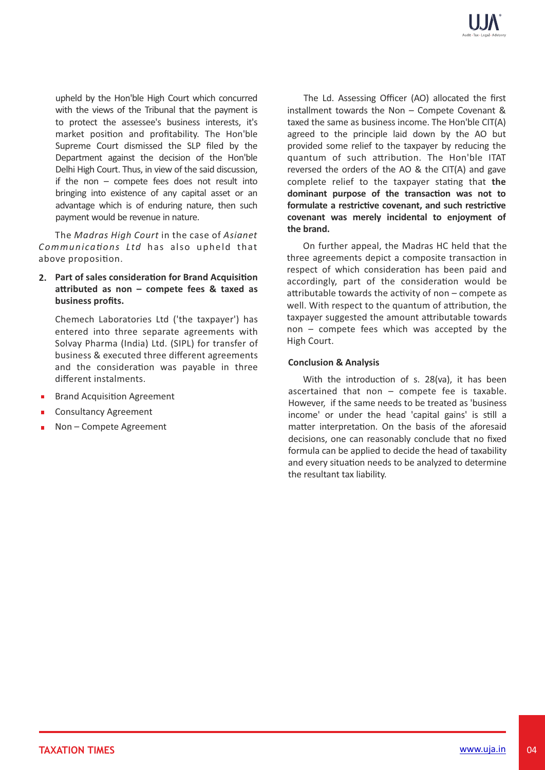upheld by the Hon'ble High Court which concurred with the views of the Tribunal that the payment is to protect the assessee's business interests, it's market position and profitability. The Hon'ble Supreme Court dismissed the SLP filed by the Department against the decision of the Hon'ble Delhi High Court. Thus, in view of the said discussion, if the non – compete fees does not result into bringing into existence of any capital asset or an advantage which is of enduring nature, then such payment would be revenue in nature.

 The *Madras High Court* in the case of *Asianet Communications Ltd* has also upheld that above proposition.

2. Part of sales consideration for Brand Acquisition **aributed as non – compete fees & taxed as business profits.** 

Chemech Laboratories Ltd ('the taxpayer') has entered into three separate agreements with Solvay Pharma (India) Ltd. (SIPL) for transfer of business & executed three different agreements and the consideration was payable in three different instalments.

- **Brand Acquisition Agreement**
- Consultancy Agreement
- Non Compete Agreement

The Ld. Assessing Officer (AO) allocated the first installment towards the Non – Compete Covenant & taxed the same as business income. The Hon'ble CIT(A) agreed to the principle laid down by the AO but provided some relief to the taxpayer by reducing the quantum of such attribution. The Hon'ble ITAT reversed the orders of the AO & the CIT(A) and gave complete relief to the taxpayer stating that the dominant purpose of the transaction was not to formulate a restrictive covenant, and such restrictive **covenant was merely incidental to enjoyment of the brand.** 

On further appeal, the Madras HC held that the three agreements depict a composite transaction in respect of which consideration has been paid and accordingly, part of the consideration would be attributable towards the activity of non  $-$  compete as well. With respect to the quantum of attribution, the taxpayer suggested the amount attributable towards non – compete fees which was accepted by the High Court.

### **Conclusion & Analysis**

With the introduction of s.  $28(va)$ , it has been ascertained that non  $-$  compete fee is taxable. However, if the same needs to be treated as 'business income' or under the head 'capital gains' is still a matter interpretation. On the basis of the aforesaid decisions, one can reasonably conclude that no fixed formula can be applied to decide the head of taxability and every situation needs to be analyzed to determine the resultant tax liability.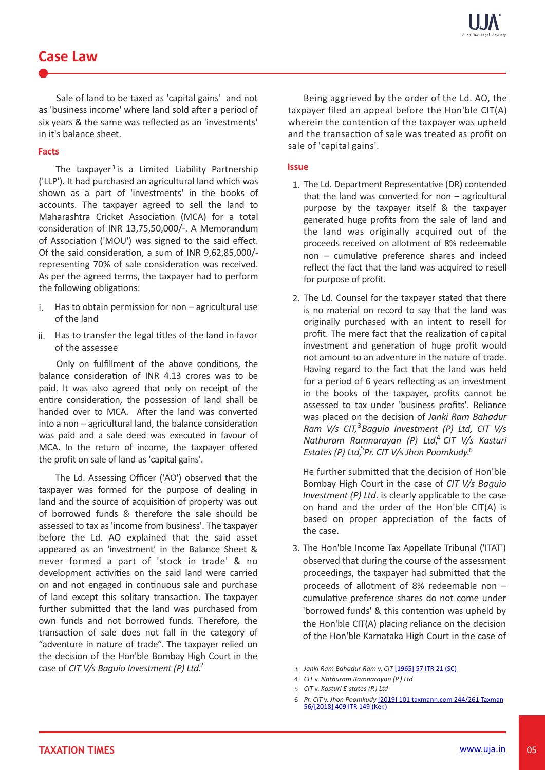## **Case Law**

Sale of land to be taxed as 'capital gains' and not as 'business income' where land sold after a period of six years & the same was reflected as an 'investments' in it's balance sheet.

### **Facts**

The taxpayer<sup>1</sup>is a Limited Liability Partnership ('LLP'). It had purchased an agricultural land which was shown as a part of 'investments' in the books of accounts. The taxpayer agreed to sell the land to Maharashtra Cricket Association (MCA) for a total consideration of INR 13,75,50,000/-. A Memorandum of Association ('MOU') was signed to the said effect. Of the said consideration, a sum of INR 9,62,85,000/representing 70% of sale consideration was received. As per the agreed terms, the taxpayer had to perform the following obligations:

- Has to obtain permission for non agricultural use  $i$ . of the land
- ii. Has to transfer the legal titles of the land in favor of the assessee

Only on fulfillment of the above conditions, the balance consideration of INR 4.13 crores was to be paid. It was also agreed that only on receipt of the entire consideration, the possession of land shall be handed over to MCA. After the land was converted  $into a non-agricultural land, the balance consideration$ was paid and a sale deed was executed in favour of MCA. In the return of income, the taxpayer offered the profit on sale of land as 'capital gains'.

The Ld. Assessing Officer ('AO') observed that the taxpayer was formed for the purpose of dealing in land and the source of acquisition of property was out of borrowed funds & therefore the sale should be assessed to tax as 'income from business'. The taxpayer before the Ld. AO explained that the said asset appeared as an 'investment' in the Balance Sheet & never formed a part of 'stock in trade' & no development activities on the said land were carried on and not engaged in continuous sale and purchase of land except this solitary transaction. The taxpayer further submitted that the land was purchased from own funds and not borrowed funds. Therefore, the transaction of sale does not fall in the category of "adventure in nature of trade". The taxpayer relied on the decision of the Hon'ble Bombay High Court in the case of *CIT V/s Baguio Investment (P) Ltd.* 2

Being aggrieved by the order of the Ld. AO, the taxpayer filed an appeal before the Hon'ble CIT(A) wherein the contention of the taxpayer was upheld and the transaction of sale was treated as profit on sale of 'capital gains'.

### **Issue**

- 1. The Ld. Department Representative (DR) contended that the land was converted for non  $-$  agricultural purpose by the taxpayer itself & the taxpayer generated huge profits from the sale of land and the land was originally acquired out of the proceeds received on allotment of 8% redeemable  $non - cumulative$  preference shares and indeed reflect the fact that the land was acquired to resell for purpose of profit.
- 2. The Ld. Counsel for the taxpayer stated that there is no material on record to say that the land was originally purchased with an intent to resell for profit. The mere fact that the realization of capital investment and generation of huge profit would not amount to an adventure in the nature of trade. Having regard to the fact that the land was held for a period of 6 years reflecting as an investment in the books of the taxpayer, profits cannot be assessed to tax under 'business profits'. Reliance was placed on the decision of *Janki Ram Bahadur* Ram V/s CIT,<sup>3</sup> Baguio Investment (P) Ltd, CIT V/s Nathuram Ramnarayan (P) Ltd,<sup>4</sup> CIT V/s Kasturi Estates (P) Ltd, <sup>5</sup> Pr. CIT V/s Jhon Poomkudy.<sup>6</sup>

He further submitted that the decision of Hon'ble Bombay High Court in the case of *CIT V/s Baguio Investment (P) Ltd.* is clearly applicable to the case on hand and the order of the Hon'ble CIT(A) is based on proper appreciation of the facts of the case.

- 3. The Hon'ble Income Tax Appellate Tribunal ('ITAT') observed that during the course of the assessment proceedings, the taxpayer had submitted that the proceeds of allotment of 8% redeemable non – cumulative preference shares do not come under 'borrowed funds' & this contention was upheld by the Hon'ble CIT(A) placing reliance on the decision of the Hon'ble Karnataka High Court in the case of
- 3 *Janki Ram Bahadur Ram* v. *CIT* [1965] 57 ITR 21 (SC)
- 4 *CIT* v. *Nathuram Ramnarayan (P.) Ltd*
- 5 *CIT* v. *Kasturi E-states (P.) Ltd*

<sup>6</sup> *Pr. CIT* v. *Jhon Poomkudy* [2019] 101 taxmann.com 244/261 Taxman 56/[2018] 409 ITR 149 (Ker.)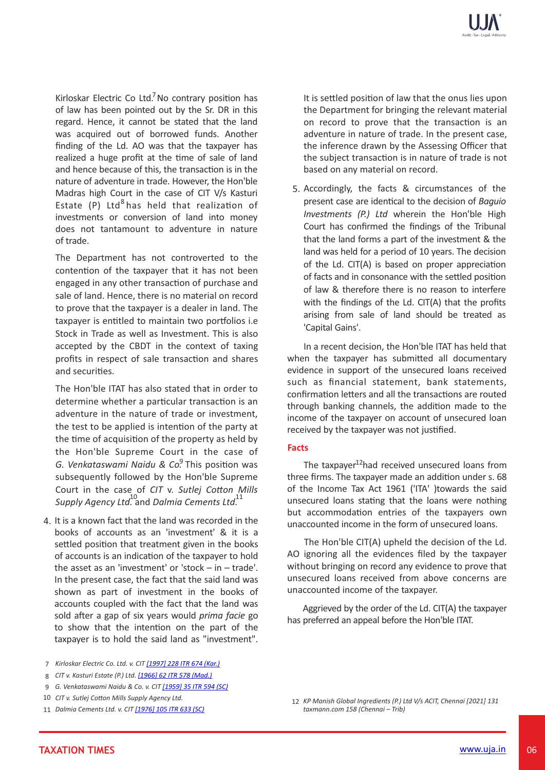Kirloskar Electric Co Ltd.<sup>7</sup> No contrary position has of law has been pointed out by the Sr. DR in this regard. Hence, it cannot be stated that the land was acquired out of borrowed funds. Another finding of the Ld. AO was that the taxpayer has realized a huge profit at the time of sale of land and hence because of this, the transaction is in the nature of adventure in trade. However, the Hon'ble Madras high Court in the case of CIT V/s Kasturi Estate (P) Ltd<sup>8</sup> has held that realization of investments or conversion of land into money does not tantamount to adventure in nature of trade.

The Department has not controverted to the contention of the taxpayer that it has not been engaged in any other transaction of purchase and sale of land. Hence, there is no material on record to prove that the taxpayer is a dealer in land. The taxpayer is entitled to maintain two portfolios i.e Stock in Trade as well as Investment. This is also accepted by the CBDT in the context of taxing profits in respect of sale transaction and shares and securities.

The Hon'ble ITAT has also stated that in order to determine whether a particular transaction is an adventure in the nature of trade or investment, the test to be applied is intention of the party at the time of acquisition of the property as held by the Hon'ble Supreme Court in the case of G. Venkataswami Naidu & Co.<sup>9</sup> This position was subsequently followed by the Hon'ble Supreme Court in the case of *CIT* v. Sutlej Cotton Mills *Supply Agency Ltd.* and *Dalmia Cements Ltd.* 10 11

- 4. It is a known fact that the land was recorded in the books of accounts as an 'investment' & it is a settled position that treatment given in the books of accounts is an indication of the taxpayer to hold the asset as an 'investment' or 'stock – in – trade'. In the present case, the fact that the said land was shown as part of investment in the books of accounts coupled with the fact that the land was sold after a gap of six years would *prima facie* go to show that the intention on the part of the taxpayer is to hold the said land as "investment".
- *Kirloskar Electric Co. Ltd. v. CIT [1997] 228 ITR 674 (Kar.)* 7
- *CIT v. Kasturi Estate (P.) Ltd. [1966] 62 ITR 578 (Mad.)* 8
- *G. Venkataswami Naidu & Co. v. CIT [1959] 35 ITR 594 (SC)* 9
- 10 CIT v. Sutlej Cotton Mills Supply Agency Ltd.
- *Dalmia Cements Ltd. v. CIT [1976] 105 ITR 633 (SC)* 11

It is settled position of law that the onus lies upon the Department for bringing the relevant material on record to prove that the transaction is an adventure in nature of trade. In the present case, the inference drawn by the Assessing Officer that the subject transaction is in nature of trade is not based on any material on record.

5. Accordingly, the facts & circumstances of the present case are identical to the decision of *Baguio Investments (P.) Ltd* wherein the Hon'ble High Court has confirmed the findings of the Tribunal that the land forms a part of the investment & the land was held for a period of 10 years. The decision of the Ld. CIT(A) is based on proper appreciation of facts and in consonance with the settled position of law & therefore there is no reason to interfere with the findings of the Ld. CIT(A) that the profits arising from sale of land should be treated as 'Capital Gains'.

 In a recent decision, the Hon'ble ITAT has held that when the taxpayer has submitted all documentary evidence in support of the unsecured loans received such as financial statement, bank statements, confirmation letters and all the transactions are routed through banking channels, the addition made to the income of the taxpayer on account of unsecured loan received by the taxpayer was not justified.

### **Facts**

The taxpayer<sup>12</sup>had received unsecured loans from three firms. The taxpayer made an addition under s. 68 of the Income Tax Act 1961 ('ITA' )towards the said unsecured loans stating that the loans were nothing but accommodation entries of the taxpayers own unaccounted income in the form of unsecured loans.

The Hon'ble CIT(A) upheld the decision of the Ld. AO ignoring all the evidences filed by the taxpayer without bringing on record any evidence to prove that unsecured loans received from above concerns are unaccounted income of the taxpayer.

 Aggrieved by the order of the Ld. CIT(A) the taxpayer has preferred an appeal before the Hon'ble ITAT.

*KP Manish Global Ingredients (P.) Ltd V/s ACIT, Chennai [2021] 131* 12*taxmann.com 158 (Chennai – Trib)*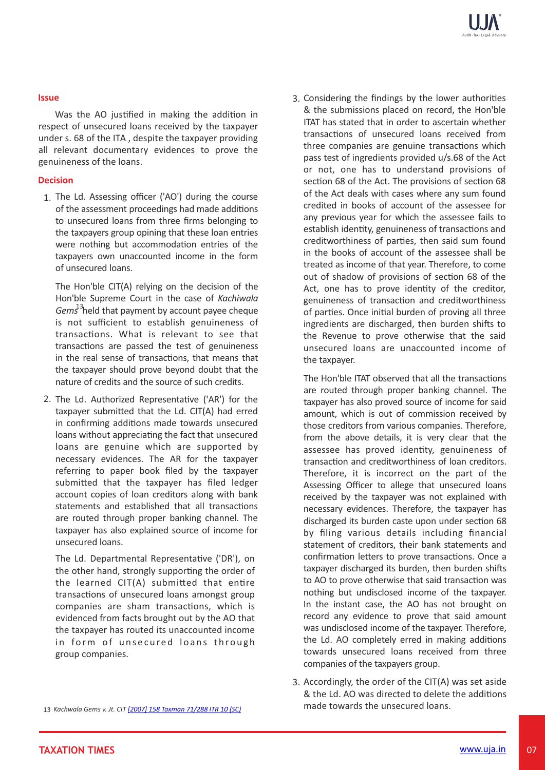## **Issue**

Was the AO justified in making the addition in respect of unsecured loans received by the taxpayer under s. 68 of the ITA , despite the taxpayer providing all relevant documentary evidences to prove the genuineness of the loans.

### **Decision**

1. The Ld. Assessing officer ('AO') during the course of the assessment proceedings had made additions to unsecured loans from three firms belonging to the taxpayers group opining that these loan entries were nothing but accommodation entries of the taxpayers own unaccounted income in the form of unsecured loans.

The Hon'ble CIT(A) relying on the decision of the Hon'ble Supreme Court in the case of *Kachiwala* Gems<sup>13</sup>held that payment by account payee cheque is not sufficient to establish genuineness of transactions. What is relevant to see that transactions are passed the test of genuineness in the real sense of transactions, that means that the taxpayer should prove beyond doubt that the nature of credits and the source of such credits.

2. The Ld. Authorized Representative ('AR') for the taxpayer submitted that the Ld. CIT(A) had erred in confirming additions made towards unsecured loans without appreciating the fact that unsecured loans are genuine which are supported by necessary evidences. The AR for the taxpayer referring to paper book filed by the taxpayer submitted that the taxpayer has filed ledger account copies of loan creditors along with bank statements and established that all transactions are routed through proper banking channel. The taxpayer has also explained source of income for unsecured loans.

The Ld. Departmental Representative ('DR'), on the other hand, strongly supporting the order of the learned  $CIT(A)$  submitted that entire transactions of unsecured loans amongst group companies are sham transactions, which is evidenced from facts brought out by the AO that the taxpayer has routed its unaccounted income in form of unsecured loans through group companies.

3. Considering the findings by the lower authorities & the submissions placed on record, the Hon'ble ITAT has stated that in order to ascertain whether transactions of unsecured loans received from three companies are genuine transactions which pass test of ingredients provided u/s.68 of the Act or not, one has to understand provisions of section 68 of the Act. The provisions of section 68 of the Act deals with cases where any sum found credited in books of account of the assessee for any previous year for which the assessee fails to establish identity, genuineness of transactions and creditworthiness of parties, then said sum found in the books of account of the assessee shall be treated as income of that year. Therefore, to come out of shadow of provisions of section 68 of the Act, one has to prove identity of the creditor, genuineness of transaction and creditworthiness of parties. Once initial burden of proving all three ingredients are discharged, then burden shifts to the Revenue to prove otherwise that the said unsecured loans are unaccounted income of the taxpayer.

The Hon'ble ITAT observed that all the transactions are routed through proper banking channel. The taxpayer has also proved source of income for said amount, which is out of commission received by those creditors from various companies. Therefore, from the above details, it is very clear that the assessee has proved identity, genuineness of transaction and creditworthiness of loan creditors. Therefore, it is incorrect on the part of the Assessing Officer to allege that unsecured loans received by the taxpayer was not explained with necessary evidences. Therefore, the taxpayer has discharged its burden caste upon under section 68 by filing various details including financial statement of creditors, their bank statements and confirmation letters to prove transactions. Once a taxpayer discharged its burden, then burden shifts to AO to prove otherwise that said transaction was nothing but undisclosed income of the taxpayer. In the instant case, the AO has not brought on record any evidence to prove that said amount was undisclosed income of the taxpayer. Therefore, the Ld. AO completely erred in making additions towards unsecured loans received from three companies of the taxpayers group.

3. Accordingly, the order of the CIT(A) was set aside & the Ld. AO was directed to delete the additions made towards the unsecured loans.

13 *Kachwala Gems v. Jt. CIT [2007] 158 Taxman 71/288 ITR 10 (SC)*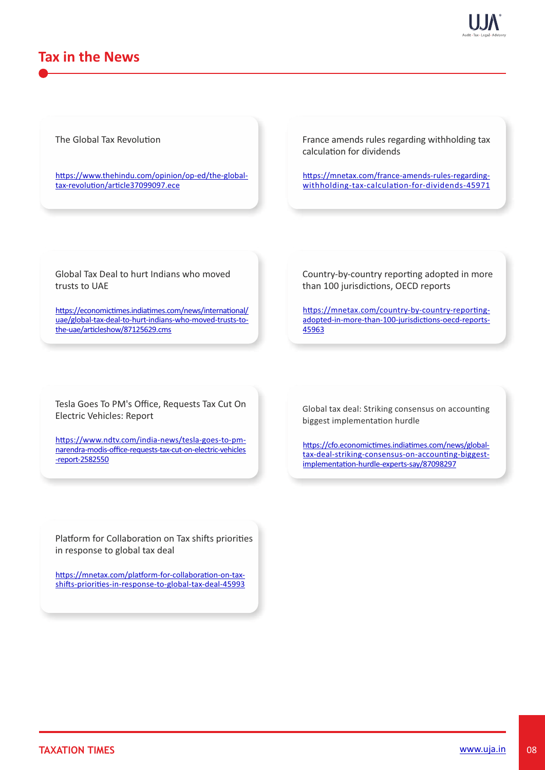

## **Tax in the News**

The Global Tax Revolution

https://www.thehindu.com/opinion/op-ed/the-globaltax-revolution/article37099097.ece

France amends rules regarding withholding tax calculation for dividends

https://mnetax.com/france-amends-rules-regardingwithholding-tax-calculation-for-dividends-45971

Global Tax Deal to hurt Indians who moved trusts to UAE

https://economictimes.indiatimes.com/news/international/ uae/global-tax-deal-to-hurt-indians-who-moved-trusts-tothe-uae/articleshow/87125629.cms

Country-by-country reporting adopted in more than 100 jurisdictions, OECD reports

https://mnetax.com/country-by-country-reportingadopted-in-more-than-100-jurisdictions-oecd-reports-45963

Tesla Goes To PM's Office, Requests Tax Cut On Electric Vehicles: Report

https://www.ndtv.com/india-news/tesla-goes-to-pmnarendra-modis-office-requests-tax-cut-on-electric-vehicles -report-2582550

Global tax deal: Striking consensus on accounting biggest implementation hurdle

https://cfo.economictimes.indiatimes.com/news/globaltax-deal-striking-consensus-on-accounting-biggestimplementation-hurdle-experts-say/87098297

Platform for Collaboration on Tax shifts priorities in response to global tax deal

https://mnetax.com/platform-for-collaboration-on-taxshifts-priorities-in-response-to-global-tax-deal-45993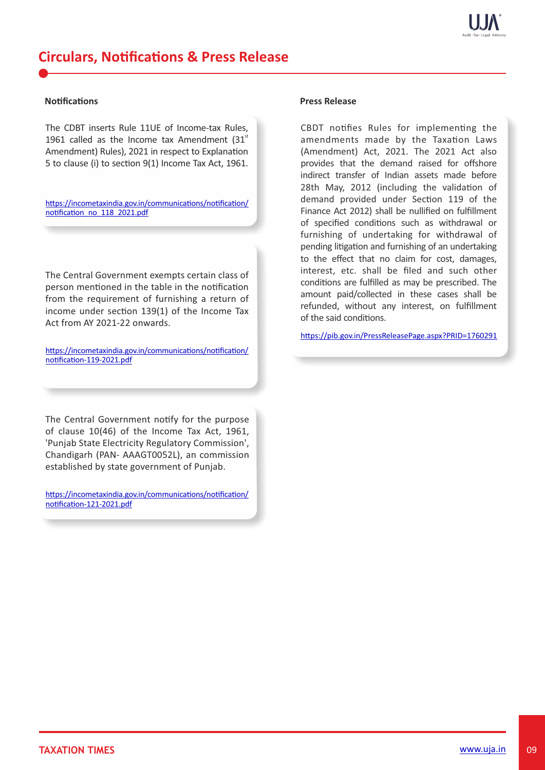

#### **Notifications**

The CDBT inserts Rule 11UE of Income-tax Rules, 1961 called as the Income tax Amendment  $(31<sup>st</sup>)$ Amendment) Rules), 2021 in respect to Explanation 5 to clause (i) to section  $9(1)$  Income Tax Act, 1961.

https://incometaxindia.gov.in/communications/notification/ notification\_no\_118\_2021.pdf

The Central Government exempts certain class of person mentioned in the table in the notification from the requirement of furnishing a return of income under section  $139(1)$  of the Income Tax Act from AY 2021-22 onwards.

https://incometaxindia.gov.in/communications/notification/ notification-119-2021.pdf

The Central Government notify for the purpose of clause 10(46) of the Income Tax Act, 1961, 'Punjab State Electricity Regulatory Commission', Chandigarh (PAN- AAAGT0052L), an commission established by state government of Punjab.

https://incometaxindia.gov.in/communications/notification/ notification-121-2021.pdf

#### **Press Release**

CBDT notifies Rules for implementing the amendments made by the Taxation Laws (Amendment) Act, 2021. The 2021 Act also provides that the demand raised for offshore indirect transfer of Indian assets made before 28th May, 2012 (including the validation of demand provided under Section 119 of the Finance Act 2012) shall be nullified on fulfillment of specified conditions such as withdrawal or furnishing of undertaking for withdrawal of pending litigation and furnishing of an undertaking to the effect that no claim for cost, damages, interest, etc. shall be filed and such other conditions are fulfilled as may be prescribed. The amount paid/collected in these cases shall be refunded, without any interest, on fulfillment of the said conditions.

https://pib.gov.in/PressReleasePage.aspx?PRID=1760291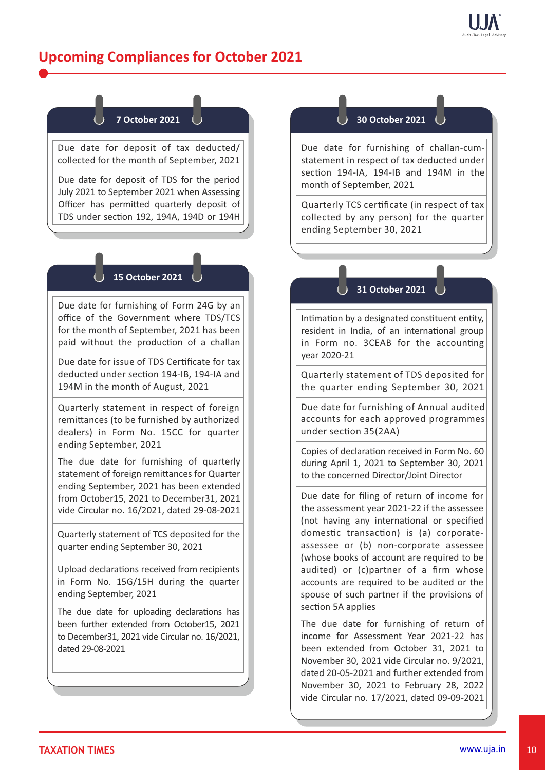

# **Upcoming Compliances for October 2021**

## **7 October 2021**

Due date for deposit of tax deducted/ collected for the month of September, 2021

Due date for deposit of TDS for the period July 2021 to September 2021 when Assessing Officer has permitted quarterly deposit of TDS under section 192, 194A, 194D or 194H

## **15 October 2021**

Due date for furnishing of Form 24G by an office of the Government where TDS/TCS for the month of September, 2021 has been paid without the production of a challan

Due date for issue of TDS Cerficate for tax deducted under section 194-IB, 194-IA and 194M in the month of August, 2021

Quarterly statement in respect of foreign remittances (to be furnished by authorized dealers) in Form No. 15CC for quarter ending September, 2021

The due date for furnishing of quarterly statement of foreign remittances for Quarter ending September, 2021 has been extended from October15, 2021 to December31, 2021 vide Circular no. 16/2021, dated 29-08-2021

Quarterly statement of TCS deposited for the quarter ending September 30, 2021

Upload declarations received from recipients in Form No. 15G/15H during the quarter ending September, 2021

The due date for uploading declarations has been further extended from October15, 2021 to December31, 2021 vide Circular no. 16/2021, dated 29-08-2021

## **30 October 2021**

Due date for furnishing of challan-cumstatement in respect of tax deducted under section 194-IA, 194-IB and 194M in the month of September, 2021

Quarterly TCS cerficate (in respect of tax collected by any person) for the quarter ending September 30, 2021

## **31 October 2021**

Intimation by a designated constituent entity, resident in India, of an international group in Form no. 3CEAB for the accounting year 2020-21

Quarterly statement of TDS deposited for the quarter ending September 30, 2021

Due date for furnishing of Annual audited accounts for each approved programmes under section 35(2AA)

Copies of declaration received in Form No. 60 during April 1, 2021 to September 30, 2021 to the concerned Director/Joint Director

Due date for filing of return of income for the assessment year 2021-22 if the assessee (not having any international or specified domestic transaction) is (a) corporateassessee or (b) non-corporate assessee (whose books of account are required to be audited) or (c)partner of a firm whose accounts are required to be audited or the spouse of such partner if the provisions of section 5A applies

The due date for furnishing of return of income for Assessment Year 2021-22 has been extended from October 31, 2021 to November 30, 2021 vide Circular no. 9/2021, dated 20-05-2021 and further extended from November 30, 2021 to February 28, 2022 vide Circular no. 17/2021, dated 09-09-2021